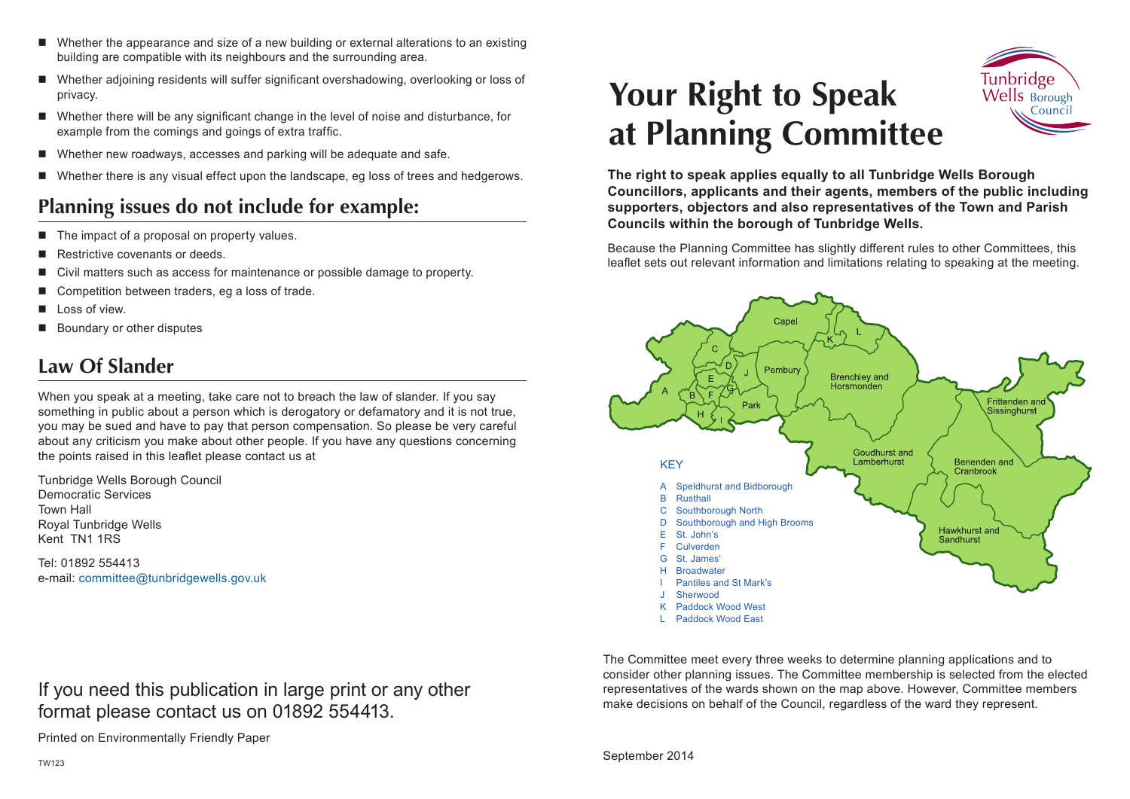- Whether the appearance and size of a new building or external alterations to an existing building are compatible with its neighbours and the surrounding area.
- Whether adjoining residents will suffer significant overshadowing, overlooking or loss of privacy.
- Whether there will be any significant change in the level of noise and disturbance, for example from the comings and goings of extra traffic.
- Whether new roadways, accesses and parking will be adequate and safe.
- Whether there is any visual effect upon the landscape, eg loss of trees and hedgerows.

### **Planning issues do not include for example:**

- The impact of a proposal on property values.
- Restrictive covenants or deeds.
- Civil matters such as access for maintenance or possible damage to property.
- Competition between traders, eg a loss of trade.
- Loss of view.
- Boundary or other disputes

# **Law Of Slander**

When you speak at a meeting, take care not to breach the law of slander. If you say something in public about a person which is derogatory or defamatory and it is not true, you may be sued and have to pay that person compensation. So please be very careful about any criticism you make about other people. If you have any questions concerning the points raised in this leaflet please contact us at

Tunbridge Wells Borough Council Democratic Services Town Hall Royal Tunbridge Wells Kent TN1 1RS

Tel: 01892 554413 e-mail: committee@tunbridgewells.gov.uk

If you need this publication in large print or any other format please contact us on 01892 554413.

Printed on Environmentally Friendly Paper

# **Your Right to Speak at Planning Committee**



**The right to speak applies equally to all Tunbridge Wells Borough Councillors, applicants and their agents, members of the public including supporters, objectors and also representatives of the Town and Parish Councils within the borough of Tunbridge Wells.**

Because the Planning Committee has slightly different rules to other Committees, this leaflet sets out relevant information and limitations relating to speaking at the meeting.



The Committee meet every three weeks to determine planning applications and to consider other planning issues. The Committee membership is selected from the elected representatives of the wards shown on the map above. However, Committee members make decisions on behalf of the Council, regardless of the ward they represent.